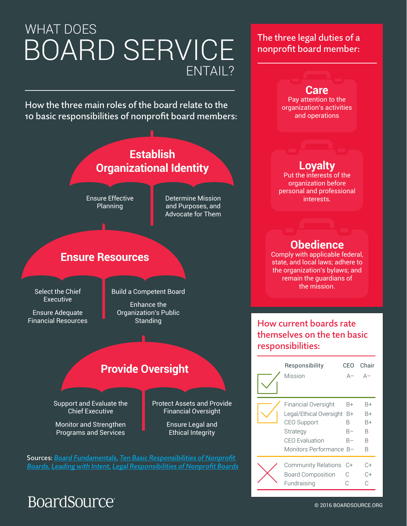# WHAT DOES BOARD SERVICE ENTAIL?

How the three main roles of the board relate to the 10 basic responsibilities of nonprofit board members:



#### Sources: Board Fundamentals, Ten Basic Responsibilities of Nonprofit Boards, Leading with Intent, Legal Responsibilities of Nonprofit Boards

### The three legal duties of a nonprofit board member:



**BoardSource** 

Fundraising C C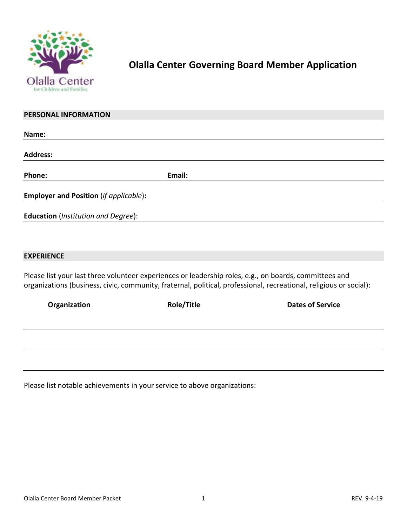

## **Olalla Center Governing Board Member Application**

| PERSONAL INFORMATION                          |                                                                                                        |  |
|-----------------------------------------------|--------------------------------------------------------------------------------------------------------|--|
| Name:                                         |                                                                                                        |  |
| <b>Address:</b>                               |                                                                                                        |  |
| Phone:                                        | Email:                                                                                                 |  |
| <b>Employer and Position (if applicable):</b> |                                                                                                        |  |
| <b>Education</b> (Institution and Degree):    |                                                                                                        |  |
|                                               |                                                                                                        |  |
| <b>EXPERIENCE</b>                             |                                                                                                        |  |
|                                               | Please list your last three volunteer experiences or leadership roles, e.g., on boards, committees and |  |

organizations (business, civic, community, fraternal, political, professional, recreational, religious or social):

| Organization | <b>Role/Title</b> | <b>Dates of Service</b> |
|--------------|-------------------|-------------------------|
|              |                   |                         |
|              |                   |                         |
|              |                   |                         |
|              |                   |                         |

Please list notable achievements in your service to above organizations: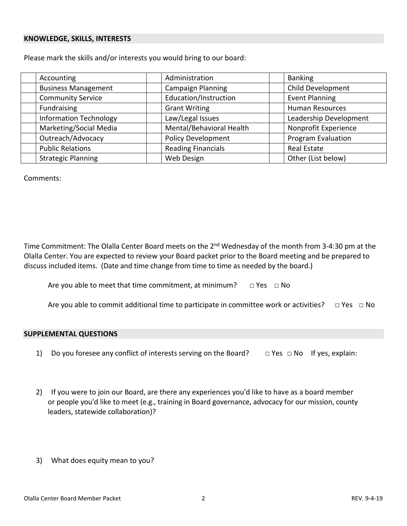#### **KNOWLEDGE, SKILLS, INTERESTS**

Please mark the skills and/or interests you would bring to our board:

| Accounting                    | Administration            | <b>Banking</b>            |
|-------------------------------|---------------------------|---------------------------|
| <b>Business Management</b>    | <b>Campaign Planning</b>  | Child Development         |
| <b>Community Service</b>      | Education/Instruction     | <b>Event Planning</b>     |
| Fundraising                   | <b>Grant Writing</b>      | <b>Human Resources</b>    |
| <b>Information Technology</b> | Law/Legal Issues          | Leadership Development    |
| Marketing/Social Media        | Mental/Behavioral Health  | Nonprofit Experience      |
| Outreach/Advocacy             | <b>Policy Development</b> | <b>Program Evaluation</b> |
| <b>Public Relations</b>       | <b>Reading Financials</b> | <b>Real Estate</b>        |
| <b>Strategic Planning</b>     | Web Design                | Other (List below)        |

Comments:

Time Commitment: The Olalla Center Board meets on the 2<sup>nd</sup> Wednesday of the month from 3-4:30 pm at the Olalla Center. You are expected to review your Board packet prior to the Board meeting and be prepared to discuss included items. (Date and time change from time to time as needed by the board.)

Are you able to meet that time commitment, at minimum?  $\Box$  Yes  $\Box$  No

Are you able to commit additional time to participate in committee work or activities?  $\Box$  Yes  $\Box$  No

#### **SUPPLEMENTAL QUESTIONS**

- 1) Do you foresee any conflict of interests serving on the Board?  $\Box$  Yes  $\Box$  No If yes, explain:
- 2) If you were to join our Board, are there any experiences you'd like to have as a board member or people you'd like to meet (e.g., training in Board governance, advocacy for our mission, county leaders, statewide collaboration)?
- 3) What does equity mean to you?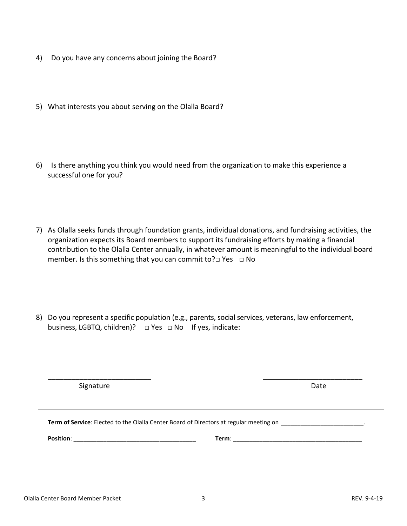- 4) Do you have any concerns about joining the Board?
- 5) What interests you about serving on the Olalla Board?
- 6) Is there anything you think you would need from the organization to make this experience a successful one for you?
- 7) As Olalla seeks funds through foundation grants, individual donations, and fundraising activities, the organization expects its Board members to support its fundraising efforts by making a financial contribution to the Olalla Center annually, in whatever amount is meaningful to the individual board member. Is this something that you can commit to?□ Yes □ No
- 8) Do you represent a specific population (e.g., parents, social services, veterans, law enforcement, business, LGBTQ, children)? □ Yes □ No If yes, indicate:

Signature Date

| Term of Service: Elected to the Olalla Center Board of Directors at regular meeting on |       |  |  |
|----------------------------------------------------------------------------------------|-------|--|--|
| <b>Position:</b>                                                                       | Term: |  |  |

\_\_\_\_\_\_\_\_\_\_\_\_\_\_\_\_\_\_\_\_\_\_\_\_\_\_ \_\_\_\_\_\_\_\_\_\_\_\_\_\_\_\_\_\_\_\_\_\_\_\_\_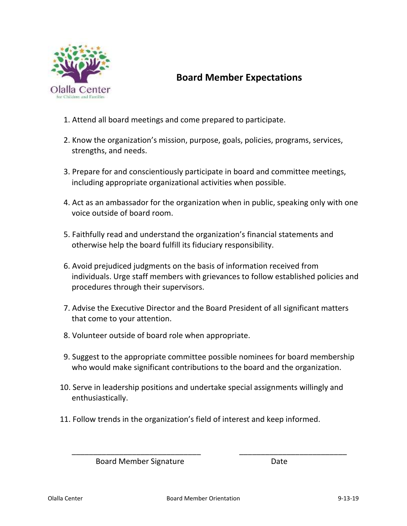

### **Board Member Expectations**

- 1. Attend all board meetings and come prepared to participate.
- 2. Know the organization's mission, purpose, goals, policies, programs, services, strengths, and needs.
- 3. Prepare for and conscientiously participate in board and committee meetings, including appropriate organizational activities when possible.
- 4. Act as an ambassador for the organization when in public, speaking only with one voice outside of board room.
- 5. Faithfully read and understand the organization's financial statements and otherwise help the board fulfill its fiduciary responsibility.
- 6. Avoid prejudiced judgments on the basis of information received from individuals. Urge staff members with grievances to follow established policies and procedures through their supervisors.
- 7. Advise the Executive Director and the Board President of all significant matters that come to your attention.
- 8. Volunteer outside of board role when appropriate.
- 9. Suggest to the appropriate committee possible nominees for board membership who would make significant contributions to the board and the organization.
- 10. Serve in leadership positions and undertake special assignments willingly and enthusiastically.
- 11. Follow trends in the organization's field of interest and keep informed.

Board Member Signature **Date** 

\_\_\_\_\_\_\_\_\_\_\_\_\_\_\_\_\_\_\_\_\_\_\_\_\_\_\_\_\_\_ \_\_\_\_\_\_\_\_\_\_\_\_\_\_\_\_\_\_\_\_\_\_\_\_\_